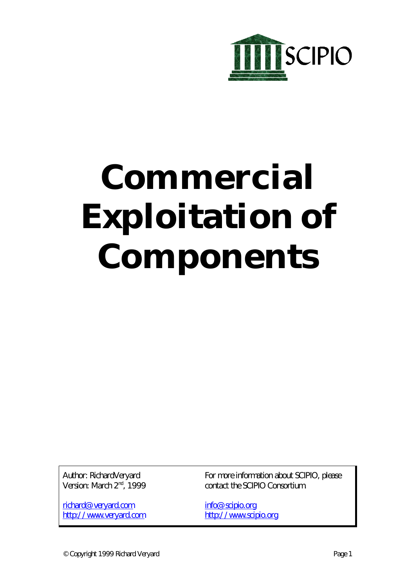

# **Commercial Exploitation of Components**

Author: RichardVeryard Version: March 2<sup>nd</sup>, 1999

richard@veryard.com http://www.veryard.com For more information about SCIPIO, please contact the SCIPIO Consortium.

info@scipio.org http://www.scipio.org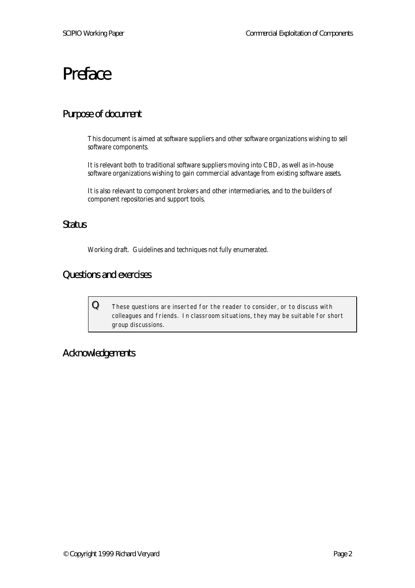# Preface

# Purpose of document

This document is aimed at software suppliers and other software organizations wishing to sell software components.

It is relevant both to traditional software suppliers moving into CBD, as well as in-house software organizations wishing to gain commercial advantage from existing software assets.

It is also relevant to component brokers and other intermediaries, and to the builders of component repositories and support tools.

# **Status**

Working draft. Guidelines and techniques not fully enumerated.

# Questions and exercises

 ${\bf Q}$   $\quad$  These questions are inserted for the reader to consider, or to discuss with colleagues and friends. In classroom situations, they may be suitable for short group discussions.

# Acknowledgements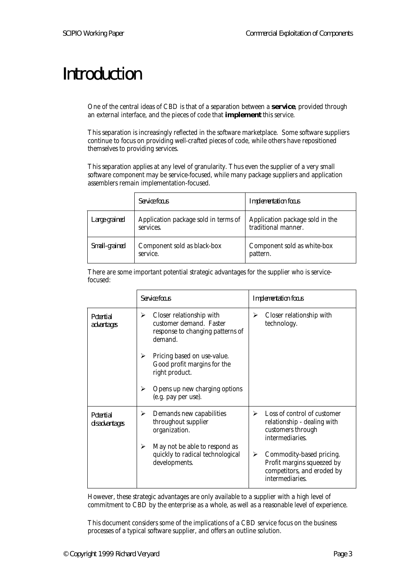# Introduction

One of the central ideas of CBD is that of a separation between a **service**, provided through an external interface, and the pieces of code that **implement** this service.

This separation is increasingly reflected in the software marketplace. Some software suppliers continue to focus on providing well-crafted pieces of code, while others have repositioned themselves to providing services.

This separation applies at any level of granularity. Thus even the supplier of a very small software component may be service-focused, while many package suppliers and application assemblers remain implementation-focused.

|               | <i>Service focus</i>                              | <b>Implementation</b> focus                            |
|---------------|---------------------------------------------------|--------------------------------------------------------|
| Large-grained | Application package sold in terms of<br>services. | Application package sold in the<br>traditional manner. |
| Small-grained | Component sold as black-box<br>service.           | Component sold as white-box<br>pattern.                |

There are some important potential strategic advantages for the supplier who is servicefocused:

|                                   | Service focus                                                                                           | <b>Implementation</b> focus                                                                                  |  |
|-----------------------------------|---------------------------------------------------------------------------------------------------------|--------------------------------------------------------------------------------------------------------------|--|
| <i>Potential</i><br>advantages    | Closer relationship with<br>≻<br>customer demand. Faster<br>response to changing patterns of<br>demand. | Closer relationship with<br>➤<br>technology.                                                                 |  |
|                                   | Pricing based on use-value.<br>➤<br>Good profit margins for the<br>right product.                       |                                                                                                              |  |
|                                   | Opens up new charging options<br>⋗<br>(e.g. pay per use).                                               |                                                                                                              |  |
| <b>Potential</b><br>disadvantages | Demands new capabilities<br>➤<br>throughout supplier<br>organization.                                   | Loss of control of customer<br>➤<br>relationship - dealing with<br>customers through<br>intermediaries.      |  |
|                                   | May not be able to respond as<br>⋗<br>quickly to radical technological<br>developments.                 | Commodity-based pricing.<br>➤<br>Profit margins squeezed by<br>competitors, and eroded by<br>intermediaries. |  |

However, these strategic advantages are only available to a supplier with a high level of commitment to CBD by the enterprise as a whole, as well as a reasonable level of experience.

This document considers some of the implications of a CBD service focus on the business processes of a typical software supplier, and offers an outline solution.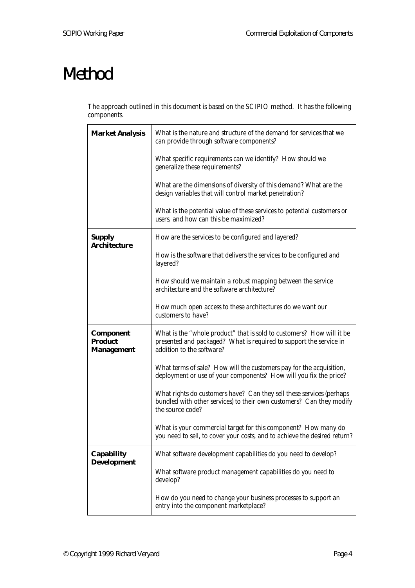# Method

The approach outlined in this document is based on the SCIPIO method. It has the following components.

| <b>Market Analysis</b>                                  | What is the nature and structure of the demand for services that we<br>can provide through software components?                                                          |  |
|---------------------------------------------------------|--------------------------------------------------------------------------------------------------------------------------------------------------------------------------|--|
|                                                         | What specific requirements can we identify? How should we<br>generalize these requirements?                                                                              |  |
|                                                         | What are the dimensions of diversity of this demand? What are the<br>design variables that will control market penetration?                                              |  |
|                                                         | What is the potential value of these services to potential customers or<br>users, and how can this be maximized?                                                         |  |
| <b>Supply</b><br><b>Architecture</b>                    | How are the services to be configured and layered?                                                                                                                       |  |
|                                                         | How is the software that delivers the services to be configured and<br>layered?                                                                                          |  |
|                                                         | How should we maintain a robust mapping between the service<br>architecture and the software architecture?                                                               |  |
|                                                         | How much open access to these architectures do we want our<br>customers to have?                                                                                         |  |
| <b>Component</b><br><b>Product</b><br><b>Management</b> | What is the "whole product" that is sold to customers? How will it be<br>presented and packaged? What is required to support the service in<br>addition to the software? |  |
|                                                         | What terms of sale? How will the customers pay for the acquisition,<br>deployment or use of your components? How will you fix the price?                                 |  |
|                                                         | What rights do customers have? Can they sell these services (perhaps<br>bundled with other services) to their own customers? Can they modify<br>the source code?         |  |
|                                                         | What is your commercial target for this component? How many do<br>you need to sell, to cover your costs, and to achieve the desired return?                              |  |
| <b>Capability</b>                                       | What software development capabilities do you need to develop?                                                                                                           |  |
| <b>Development</b>                                      | What software product management capabilities do you need to<br>develop?                                                                                                 |  |
|                                                         | How do you need to change your business processes to support an<br>entry into the component marketplace?                                                                 |  |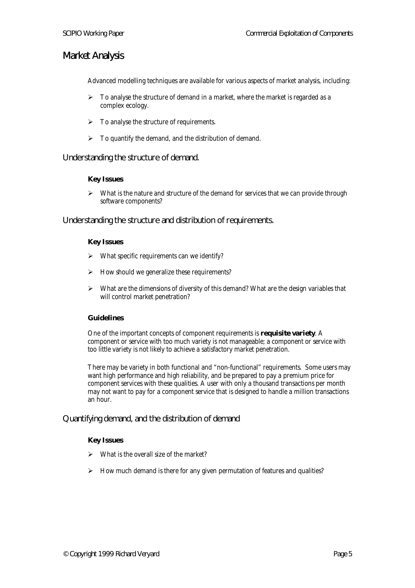# Market Analysis

Advanced modelling techniques are available for various aspects of market analysis, including:

- $\triangleright$  To analyse the structure of demand in a market, where the market is regarded as a complex ecology.
- $\triangleright$  To analyse the structure of requirements.
- $\triangleright$  To quantify the demand, and the distribution of demand.

Understanding the structure of demand.

### **Key Issues**

 $\triangleright$  What is the nature and structure of the demand for services that we can provide through software components?

Understanding the structure and distribution of requirements.

#### **Key Issues**

- $\triangleright$  What specific requirements can we identify?
- $\triangleright$  How should we generalize these requirements?
- $\triangleright$  What are the dimensions of diversity of this demand? What are the design variables that will control market penetration?

# **Guidelines**

One of the important concepts of component requirements is **requisite variety**. A component or service with too much variety is not manageable; a component or service with too little variety is not likely to achieve a satisfactory market penetration.

There may be variety in both functional and "non-functional" requirements. Some users may want high performance and high reliability, and be prepared to pay a premium price for component services with these qualities. A user with only a thousand transactions per month may not want to pay for a component service that is designed to handle a million transactions an hour.

Quantifying demand, and the distribution of demand

# **Key Issues**

- $\triangleright$  What is the overall size of the market?
- $\triangleright$  How much demand is there for any given permutation of features and qualities?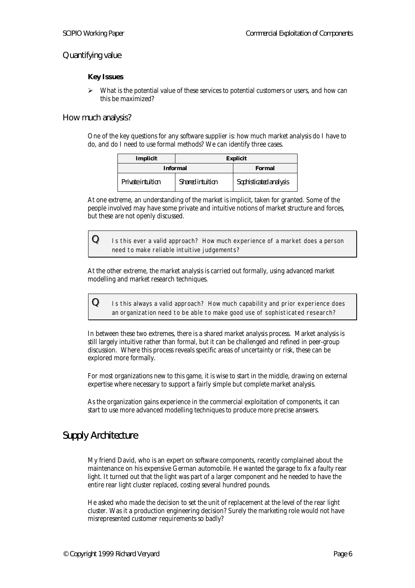# Quantifying value

# **Key Issues**

 $\triangleright$  What is the potential value of these services to potential customers or users, and how can this be maximized?

#### How much analysis?

One of the key questions for any software supplier is: how much market analysis do I have to do, and do I need to use formal methods? We can identify three cases.

| Implicit          | <b>Explicit</b>  |                        |
|-------------------|------------------|------------------------|
| <b>Informal</b>   |                  | Formal                 |
| Private intuition | Shared intuition | Sophisticated analysis |

At one extreme, an understanding of the market is implicit, taken for granted. Some of the people involved may have some private and intuitive notions of market structure and forces, but these are not openly discussed.

 ${\bf Q}\equiv$  1s this ever a valid approach? How much experience of a market does a person need to make reliable intuitive judgements?

At the other extreme, the market analysis is carried out formally, using advanced market modelling and market research techniques.

| Q | Is this always a valid approach? How much capability and prior experience does |
|---|--------------------------------------------------------------------------------|
|   | an organization need to be able to make good use of sophisticated research?    |

In between these two extremes, there is a shared market analysis process. Market analysis is still largely intuitive rather than formal, but it can be challenged and refined in peer-group discussion. Where this process reveals specific areas of uncertainty or risk, these can be explored more formally.

For most organizations new to this game, it is wise to start in the middle, drawing on external expertise where necessary to support a fairly simple but complete market analysis.

As the organization gains experience in the commercial exploitation of components, it can start to use more advanced modelling techniques to produce more precise answers.

# Supply Architecture

My friend David, who is an expert on software components, recently complained about the maintenance on his expensive German automobile. He wanted the garage to fix a faulty rear light. It turned out that the light was part of a larger component and he needed to have the entire rear light cluster replaced, costing several hundred pounds.

He asked who made the decision to set the unit of replacement at the level of the rear light cluster. Was it a production engineering decision? Surely the marketing role would not have misrepresented customer requirements so badly?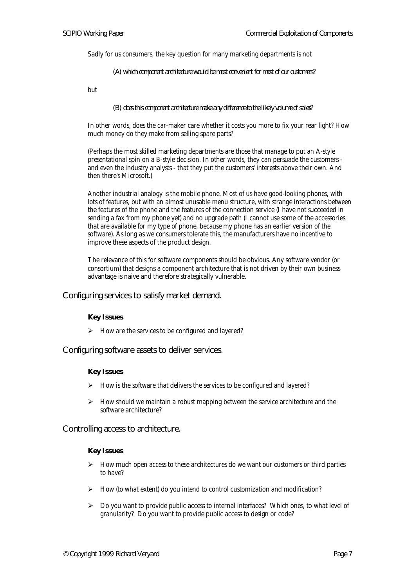Sadly for us consumers, the key question for many marketing departments is not

*(A) which component architecture would be most convenient for most of our customers?*

but

*(B) does this component architecture make any difference to the likely volume of sales?*

In other words, does the car-maker care whether it costs you more to fix your rear light? How much money do they make from selling spare parts?

(Perhaps the most skilled marketing departments are those that manage to put an A-style presentational spin on a B-style decision. In other words, they can persuade the customers and even the industry analysts - that they put the customers' interests above their own. And then there's Microsoft.)

Another industrial analogy is the mobile phone. Most of us have good-looking phones, with lots of features, but with an almost unusable menu structure, with strange interactions between the features of the phone and the features of the connection service (I have not succeeded in sending a fax from my phone yet) and no upgrade path (I cannot use some of the accessories that are available for my type of phone, because my phone has an earlier version of the software). As long as we consumers tolerate this, the manufacturers have no incentive to improve these aspects of the product design.

The relevance of this for software components should be obvious. Any software vendor (or consortium) that designs a component architecture that is not driven by their own business advantage is naive and therefore strategically vulnerable.

Configuring services to satisfy market demand.

#### **Key Issues**

 $\triangleright$  How are the services to be configured and layered?

Configuring software assets to deliver services.

#### **Key Issues**

- How is the software that delivers the services to be configured and layered?
- ÿ How should we maintain a robust mapping between the service architecture and the software architecture?

Controlling access to architecture.

#### **Key Issues**

- ÿ How much open access to these architectures do we want our customers or third parties to have?
- $\triangleright$  How (to what extent) do you intend to control customization and modification?
- $\triangleright$  Do you want to provide public access to internal interfaces? Which ones, to what level of granularity? Do you want to provide public access to design or code?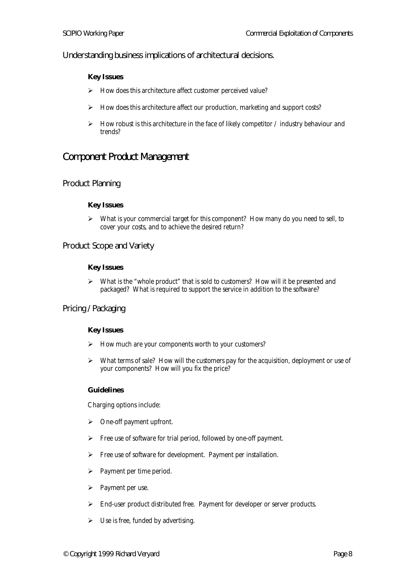Understanding business implications of architectural decisions.

# **Key Issues**

- $\triangleright$  How does this architecture affect customer perceived value?
- $\triangleright$  How does this architecture affect our production, marketing and support costs?
- $\triangleright$  How robust is this architecture in the face of likely competitor / industry behaviour and trends?

# Component Product Management

# Product Planning

# **Key Issues**

 $\triangleright$  What is your commercial target for this component? How many do you need to sell, to cover your costs, and to achieve the desired return?

Product Scope and Variety

# **Key Issues**

 $\triangleright$  What is the "whole product" that is sold to customers? How will it be presented and packaged? What is required to support the service in addition to the software?

# Pricing / Packaging

# **Key Issues**

- $\triangleright$  How much are your components worth to your customers?
- > What terms of sale? How will the customers pay for the acquisition, deployment or use of your components? How will you fix the price?

# **Guidelines**

Charging options include:

- $\triangleright$  One-off payment upfront.
- $\triangleright$  Free use of software for trial period, followed by one-off payment.
- $\triangleright$  Free use of software for development. Payment per installation.
- $\triangleright$  Payment per time period.
- $\triangleright$  Payment per use.
- $\triangleright$  End-user product distributed free. Payment for developer or server products.
- $\triangleright$  Use is free, funded by advertising.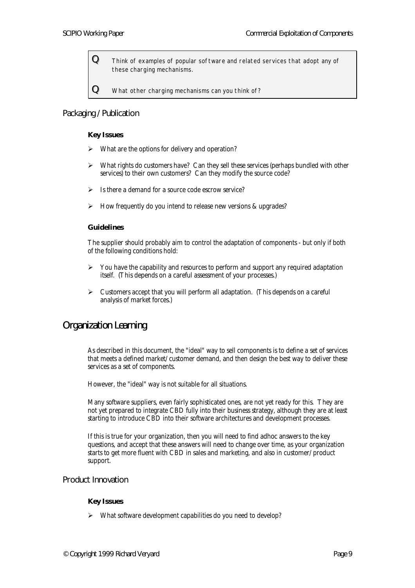${\bf Q}$  Think of examples of popular software and related services that adopt any of these charging mechanisms.

 ${\bf Q}\equiv$  What other charging mechanisms can you think of?

# Packaging / Publication

### **Key Issues**

- What are the options for delivery and operation?
- $\triangleright$  What rights do customers have? Can they sell these services (perhaps bundled with other services) to their own customers? Can they modify the source code?
- $\triangleright$  Is there a demand for a source code escrow service?
- $\triangleright$  How frequently do you intend to release new versions & upgrades?

#### **Guidelines**

The supplier should probably aim to control the adaptation of components - but only if both of the following conditions hold:

- $\triangleright$  You have the capability and resources to perform and support any required adaptation itself. (This depends on a careful assessment of your processes.)
- $\triangleright$  Customers accept that you will perform all adaptation. (This depends on a careful analysis of market forces.)

# Organization Learning

As described in this document, the "ideal" way to sell components is to define a set of services that meets a defined market/customer demand, and then design the best way to deliver these services as a set of components.

However, the "ideal" way is not suitable for all situations.

Many software suppliers, even fairly sophisticated ones, are not yet ready for this. They are not yet prepared to integrate CBD fully into their business strategy, although they are at least starting to introduce CBD into their software architectures and development processes.

If this is true for your organization, then you will need to find adhoc answers to the key questions, and accept that these answers will need to change over time, as your organization starts to get more fluent with CBD in sales and marketing, and also in customer/product support.

# Product Innovation

# **Key Issues**

 $\triangleright$  What software development capabilities do you need to develop?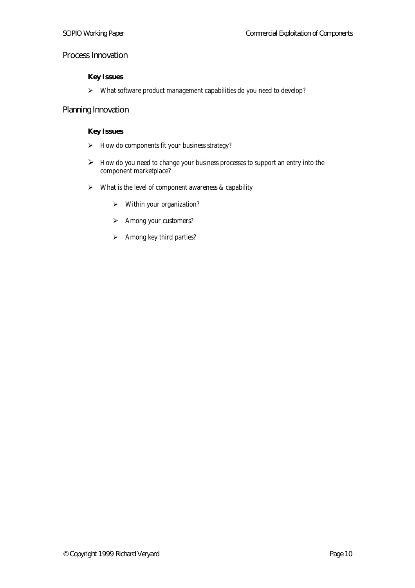# Process Innovation

# **Key Issues**

> What software product management capabilities do you need to develop?

# Planning Innovation

# **Key Issues**

- $\triangleright$  How do components fit your business strategy?
- $\triangleright$  How do you need to change your business processes to support an entry into the component marketplace?
- $\triangleright$  What is the level of component awareness & capability
	- ÿ Within your organization?
	- $\triangleright$  Among your customers?
	- $\triangleright$  Among key third parties?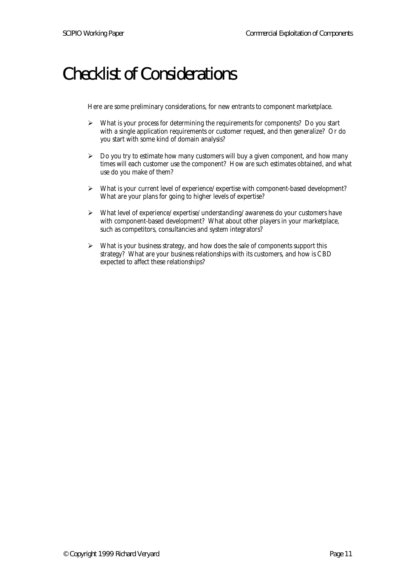# Checklist of Considerations

Here are some preliminary considerations, for new entrants to component marketplace.

- $\triangleright$  What is your process for determining the requirements for components? Do you start with a single application requirements or customer request, and then generalize? Or do you start with some kind of domain analysis?
- $\triangleright$  Do you try to estimate how many customers will buy a given component, and how many times will each customer use the component? How are such estimates obtained, and what use do you make of them?
- ÿ What is your current level of experience/expertise with component-based development? What are your plans for going to higher levels of expertise?
- $\triangleright$  What level of experience/expertise/understanding/awareness do your customers have with component-based development? What about other players in your marketplace, such as competitors, consultancies and system integrators?
- $\triangleright$  What is your business strategy, and how does the sale of components support this strategy? What are your business relationships with its customers, and how is CBD expected to affect these relationships?